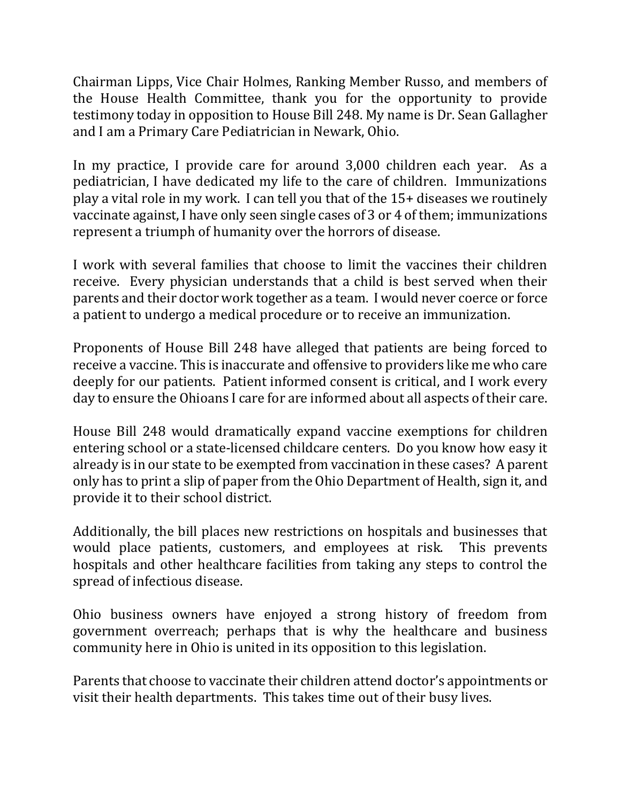Chairman Lipps, Vice Chair Holmes, Ranking Member Russo, and members of the House Health Committee, thank you for the opportunity to provide testimony today in opposition to House Bill 248. My name is Dr. Sean Gallagher and I am a Primary Care Pediatrician in Newark, Ohio.

In my practice, I provide care for around 3,000 children each year. As a pediatrician, I have dedicated my life to the care of children. Immunizations play a vital role in my work. I can tell you that of the 15+ diseases we routinely vaccinate against, I have only seen single cases of 3 or 4 of them; immunizations represent a triumph of humanity over the horrors of disease.

I work with several families that choose to limit the vaccines their children receive. Every physician understands that a child is best served when their parents and their doctor work together as a team. I would never coerce or force a patient to undergo a medical procedure or to receive an immunization.

Proponents of House Bill 248 have alleged that patients are being forced to receive a vaccine. This is inaccurate and offensive to providers like me who care deeply for our patients. Patient informed consent is critical, and I work every day to ensure the Ohioans I care for are informed about all aspects of their care.

House Bill 248 would dramatically expand vaccine exemptions for children entering school or a state-licensed childcare centers. Do you know how easy it already is in our state to be exempted from vaccination in these cases? A parent only has to print a slip of paper from the Ohio Department of Health, sign it, and provide it to their school district.

Additionally, the bill places new restrictions on hospitals and businesses that would place patients, customers, and employees at risk. This prevents hospitals and other healthcare facilities from taking any steps to control the spread of infectious disease.

Ohio business owners have enjoyed a strong history of freedom from government overreach; perhaps that is why the healthcare and business community here in Ohio is united in its opposition to this legislation.

Parents that choose to vaccinate their children attend doctor's appointments or visit their health departments. This takes time out of their busy lives.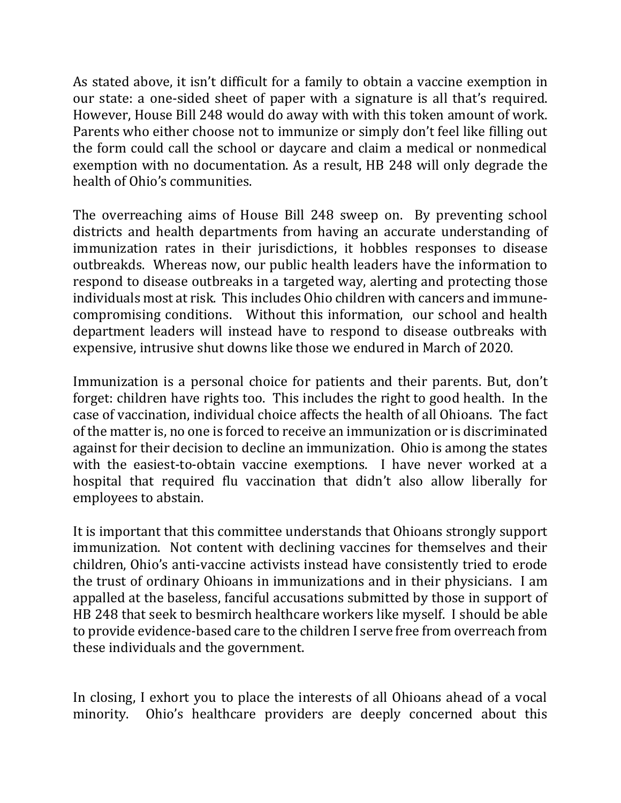As stated above, it isn't difficult for a family to obtain a vaccine exemption in our state: a one-sided sheet of paper with a signature is all that's required. However, House Bill 248 would do away with with this token amount of work. Parents who either choose not to immunize or simply don't feel like filling out the form could call the school or daycare and claim a medical or nonmedical exemption with no documentation. As a result, HB 248 will only degrade the health of Ohio's communities.

The overreaching aims of House Bill 248 sweep on. By preventing school districts and health departments from having an accurate understanding of immunization rates in their jurisdictions, it hobbles responses to disease outbreakds. Whereas now, our public health leaders have the information to respond to disease outbreaks in a targeted way, alerting and protecting those individuals most at risk. This includes Ohio children with cancers and immunecompromising conditions. Without this information, our school and health department leaders will instead have to respond to disease outbreaks with expensive, intrusive shut downs like those we endured in March of 2020.

Immunization is a personal choice for patients and their parents. But, don't forget: children have rights too. This includes the right to good health. In the case of vaccination, individual choice affects the health of all Ohioans. The fact of the matter is, no one is forced to receive an immunization or is discriminated against for their decision to decline an immunization. Ohio is among the states with the easiest-to-obtain vaccine exemptions. I have never worked at a hospital that required flu vaccination that didn't also allow liberally for employees to abstain.

It is important that this committee understands that Ohioans strongly support immunization. Not content with declining vaccines for themselves and their children, Ohio's anti-vaccine activists instead have consistently tried to erode the trust of ordinary Ohioans in immunizations and in their physicians. I am appalled at the baseless, fanciful accusations submitted by those in support of HB 248 that seek to besmirch healthcare workers like myself. I should be able to provide evidence-based care to the children I serve free from overreach from these individuals and the government.

In closing, I exhort you to place the interests of all Ohioans ahead of a vocal minority. Ohio's healthcare providers are deeply concerned about this